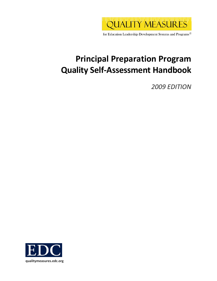

for Education Leadership Development Systems and Programs<sup>®</sup>

# **Principal Preparation Program Quality Self‐Assessment Handbook**

*2009 EDITION*

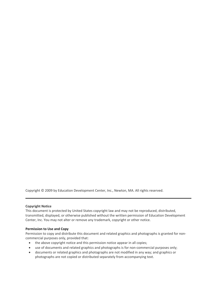Copyright © 2009 by Education Development Center, Inc., Newton, MA. All rights reserved.

#### **Copyright Notice**

This document is protected by United States copyright law and may not be reproduced, distributed, transmitted, displayed, or otherwise published without the written permission of Education Development Center, Inc. You may not alter or remove any trademark, copyright or other notice.

#### **Permission to Use and Copy**

Permission to copy and distribute this document and related graphics and photographs is granted for non‐ commercial purposes only, provided that:

- the above copyright notice and this permission notice appear in all copies;
- use of documents and related graphics and photographs is for non-commercial purposes only;
- documents or related graphics and photographs are not modified in any way; and graphics or photographs are not copied or distributed separately from accompanying text.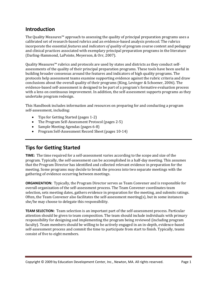# **Introduction**

The Quality Measures™ approach to assessing the quality of principal preparation programs uses a calibrated set of research‐based rubrics and an evidence‐based analysis protocol. The rubrics incorporate the essential *features* and *indicators of quality* of program course content and pedagogy and clinical practices associated with exemplary principal preparation programs in the literature (Darling‐Hammond, LaPointe, Meyerson, & Orr, 2007).

Quality Measures™ rubrics and protocols are used by states and districts as they conduct selfassessments of the quality of their principal preparation programs. These tools have been useful in building broader consensus around the features and indicators of high quality programs. The protocols help assessment teams examine supporting evidence against the rubric criteria and draw conclusions about the overall quality of their programs (King, Levinger & Schoener, 2006). The evidence‐based self‐assessment is designed to be part of a program's formative evaluation process with a lens on continuous improvement. In addition, the self-assessment supports programs as they undertake program redesign.

This Handbook includes information and resources on preparing for and conducting a program self‐assessment, including:

- Tips for Getting Started (pages 1-2)
- The Program Self-Assessment Protocol (pages 2-5)
- Sample Meeting Agendas (pages 6‐8)
- Program Self-Assessment Record Sheet (pages 10-14)

# **Tips for Getting Started**

**TIME:** The time required for a self‐assessment varies according to the scope and size of the program. Typically, the self‐assessment can be accomplished in a half‐day meeting. This assumes that the Program Director has identified and collected relevant evidence in preparation for the meeting. Some programs may decide to break the process into two separate meetings with the gathering of evidence occurring between meetings.

**ORGANIZATION:** Typically, the Program Director serves as Team Convener and is responsible for overall organization of the self‐assessment process. The Team Convener coordinates team selection, sets meeting dates, gathers evidence in preparation for the meeting, and submits ratings. Often, the Team Convener also facilitates the self-assessment meeting(s), but in some instances she/he may choose to delegate this responsibility.

**TEAM SELECTION:** Team selection is an important part of the self‐assessment process. Particular attention should be given to team composition. The team should include individuals with primary responsibility for designing and implementing the program being reviewed (including program faculty). Team members should be willing to be actively engaged in an in-depth, evidence-based self-assessment process and commit the time to participate from start to finish. Typically, teams consist of five to eight members.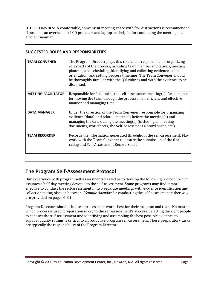**OTHER LOGISTICS:** A comfortable, convenient meeting space with few distractions is recommended. f possible, an overhead or LCD projector and laptop are helpful for conducting the meeting in an I efficient manner.

## **SUGGESTED ROLES AND RESPONSIBILITIES**

| <b>TEAM CONVENER</b>       | The Program Director plays this role and is responsible for organizing<br>all aspects of the process, including team member invitations, meeting<br>planning and scheduling, identifying and collecting evidence, team<br>orientation, and setting process timelines. The Team Convener should<br>be thoroughly familiar with the QM rubrics and with the evidence to be<br>discussed. |
|----------------------------|----------------------------------------------------------------------------------------------------------------------------------------------------------------------------------------------------------------------------------------------------------------------------------------------------------------------------------------------------------------------------------------|
| <b>MEETING FACILITATOR</b> | Responsible for facilitating the self-assessment meeting(s). Responsible<br>for moving the team through the process in an efficient and effective<br>manner and managing time.                                                                                                                                                                                                         |
| <b>DATA MANAGER</b>        | Under the direction of the Team Convener, responsible for organizing<br>evidence (data) and related materials before the meeting(s) and<br>managing the data during the meeting(s) (including all meeting<br>documents, worksheets, the Self-Assessment Record Sheet, etc.).                                                                                                           |
| <b>TEAM RECORDER</b>       | Records the information generated throughout the self-assessment. May<br>work with the Team Convener to ensure the submission of the final<br>rating and Self-Assessment Record Sheet.                                                                                                                                                                                                 |

# **The Program Self‐Assessment Protocol**

Our experience with program self‐assessments has led us to develop the following protocol, which assumes a half‐day meeting devoted to the self‐assessment. Some programs may find it more effective to conduct the self‐assessment in two separate meetings with evidence identification and collection taking place in between. (*Sample Agendas* for conducting the self‐assessment either way are provided on pages 6‐8.)

Program Directors should choose a process that works best for their program and team. No matter which process is used, preparation is key to the self-assessment's success. Selecting the right people to conduct the self‐assessment and identifying and assembling the best possible evidence to support quality ratings is critical to a productive program self-assessment. These preparatory tasks are typically the responsibility of the Program Director.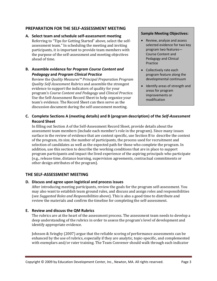## **PREPARATION FOR THE SELF‐ASSESSMENT MEETING**

### **A. Select team and schedule self‐assessment meeting**  Referring to "Tips for Getting Started" above, select the self‐

assessment team." In scheduling the meeting and inviting participants, it is important to provide team members with the purpose of the self‐assessment and meeting objectives ahead of time.

# **B.** Assemble evidence for Program Course Content and **nd** *Program Clinic Pedagogy* **a** *al Practice*

Review the *Quality Measures™ Principal Preparation Program Quality SelfAssessment Rubrics* and assemble the strongest evidence to support the indicators of quality for your program's *Course Content and Pedagogy* and *Clinical Practice*. Use the Self‐Assessment Record Sheet to help organize your team's evidence. The Record Sheet can then serve as the discussion document during the self‐assessment meeting.

#### **Sample Meeting Objectives:**

- Review, analyze and assess selected evidence for two key program two features— Course Content and Pedagogy and Clinical Practice
- Collectively rate each program feature along the developmental continuum
- Identify areas of strength and areas for program improvements or modification

# **C. Complete Sections A (meeting details) and B (program description) of the** *Self‐Assessment* **Record Sheet**

In filling out Section A of the Self‐Assessment Record Sheet, provide details about the assessment team members (include each member's role in the program). Since many issues surface in the review of evidence that are context specific, use Section B to describe the context of the program, its size, the number of participants, the process used for recruitment and selection of candidates as well as the expected path for those who complete the program. In addition, use this section to describe the working conditions that are in place to support program participants and impact the lived experience of the aspiring principals who participate (e.g., release time, distance learning, supervision agreements, contractual commitments or other design attributes of the program).

# **THE SELF‐ASSESSMENT MEETING**

## **D. Discuss and agree upon logistical and process issues**

After introducing meeting participants, review the goals for the program self‐assessment. You may also want to establish team ground rules, and discuss and assign roles and responsibilities (see *Suggested Roles and Responsibilities* above). This is also a good time to distribute and review the materials and confirm the timeline for completing the self‐assessment.

# **Review and discuss the QM Rubrics E.**

The rubrics are at the heart of the assessment process. The assessment team needs to develop a deep understanding of the rubrics in order to assess the program's level of development and identify appropriate evidence.

Johnson & Svingby (2007) argue that the reliable scoring of performance assessments can be enhanced by the use of rubrics, especially if they are analytic, topic‐specific, and complemented with exemplars and/or rater training. The Team Convener should walk through each indicator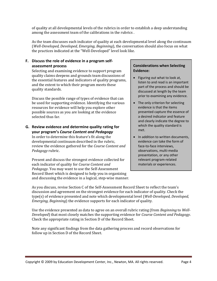of quality at all developmental levels of the rubrics in order to establish a deep understanding among the assessment team of the calibrations in the rubrics .

As the team discusses each indicator of quality at each developmental level along the continuum (*WellDeveloped, Developed, Emerging, Beginning*), the conversation should also focus on what the practices indicated at the "Well‐Developed" level look like.

### **F. Discuss the role of evidence in a program self‐ assessment process**

Selecting and examining evidence to support program quality claims deepens and grounds team discussions of the essential features and indicators of quality programs, and the extent to which their program meets these quality standards.

Discuss the possible range of types of evidence that can be used for supporting evidence. Identifying the various resources for evidence will help you explore other possible sources as you are looking at the evidence selected thus far.

## **G. Review evidence and determine quality rating for your program's** *Course Content and Pedagogy*

In order to determine this feature's fit along the developmental continuum described in the rubric, review the evidence gathered for the *Course Content and Pedagogy* rubric.

Present and discuss the strongest evidence collected for each indicator of quality for *Course Content and Pedagogy*. You may want to use the Self‐Assessment Record Sheet which is designed to help you in organizing and discussing the evidence in a logical, step‐wise manner.

#### **Considerations when Selecting Evidence:**

- Figuring out what to look at, listen to and read is an important part of the process and should be discussed at length by the team prior to examining any evidence.
- The only criterion for selecting evidence is that the items presented capture the essence of a desired indicator and feature and clearly indicate the degree to which the quality standard is met.
- In addition to written documents. evidence can take the form of face‐to‐face interviews, observations, multi‐media presentation, or any other relevant program‐related materials or experiences.

As you discuss, revise Section C of the Self‐Assessment Record Sheet to reflect the team's discussion and agreement on the strongest evidence for each indicator of quality. Check the type(s) of evidence presented and note which developmental level (*WellDeveloped, Developed, Emerging, Beginning*) the evidence supports for each indicator of quality.

Use the evidence presented as data to agree on an overall rubric rating (from *Beginning* to *Well-Developed*) that most closely matches the supporting evidence for *Course Content and Pedagogy*. Check the appropriate rating in Section D of the Record Sheet.

Note any significant findings from the data gathering process and record observations for follow up in Section D of the Record Sheet.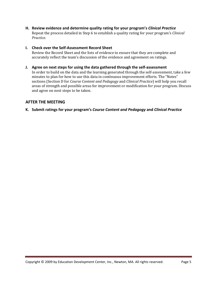**H. Review evidence and determine quality rating for your program's** *Clinical Practice* Repeat the process detailed in Step 6 to establish a quality rating for your program's *Clinical Practice.*

### **Check over the Self‐Assessment Record Sheet I.**

Review the Record Sheet and the lists of evidence to ensure that they are complete and accurately reflect the team's discussion of the evidence and agreement on ratings.

#### **Agree on next steps for using the data gathered through the self‐assessment J.**

In order to build on the data and the learning generated through the self-assessment, take a few minutes to plan for how to use this data in continuous improvement efforts. The "Notes" sections (Section D for *Course Content and Pedagogy* and *Clinical Practice*) will help you recall areas of strength and possible areas for improvement or modification for your program. Discuss and agree on next steps to be taken.

#### **AFTER THE MEETING**

#### **K. Submit ratings for your program's** *Course Content and Pedagogy* **and** *Clinical Practice*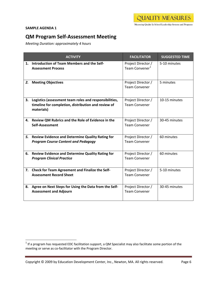#### **SAMPLE AGENDA 1**

 $\overline{\phantom{a}}$ 

# **QM Program Self‐Assessment Meeting**

*Meeting Duration: approximately 4 hours*

|    | <b>ACTIVITY</b>                                                                                                             | <b>FACILITATOR</b>                               | <b>SUGGESTED TIME</b> |
|----|-----------------------------------------------------------------------------------------------------------------------------|--------------------------------------------------|-----------------------|
|    | 1. Introduction of Team Members and the Self-<br><b>Assessment Process</b>                                                  | Project Director /<br>Team Convener <sup>1</sup> | 5-10 minutes          |
|    | 2. Meeting Objectives                                                                                                       | Project Director /<br><b>Team Convener</b>       | 5 minutes             |
| 3. | Logistics (assessment team roles and responsibilities,<br>timeline for completion, distribution and review of<br>materials) | Project Director /<br><b>Team Convener</b>       | 10-15 minutes         |
| 4. | Review QM Rubrics and the Role of Evidence in the<br>Self-Assessment                                                        | Project Director /<br><b>Team Convener</b>       | 30-45 minutes         |
| 5. | <b>Review Evidence and Determine Quality Rating for</b><br><b>Program Course Content and Pedagogy</b>                       | Project Director /<br><b>Team Convener</b>       | 60 minutes            |
| 6. | <b>Review Evidence and Determine Quality Rating for</b><br><b>Program Clinical Practice</b>                                 | Project Director /<br><b>Team Convener</b>       | 60 minutes            |
|    | 7. Check for Team Agreement and Finalize the Self-<br><b>Assessment Record Sheet</b>                                        | Project Director /<br><b>Team Convener</b>       | 5-10 minutes          |
|    | 8. Agree on Next Steps for Using the Data from the Self-<br><b>Assessment and Adjourn</b>                                   | Project Director /<br><b>Team Convener</b>       | 30-45 minutes         |

<span id="page-7-0"></span> $1$  If a program has requested EDC facilitation support, a QM Specialist may also facilitate some portion of the meeting or serve as co-facilitator with the Program Director.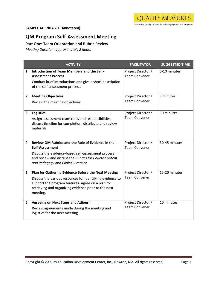# **SAMPLE AGENDA 2.1 (Annotated)**

# **QM Program Self‐Assessment Meeting**

# **Part One: Team Orientation and Rubric Review**

*Meeting Duration: approximately 2 hours*

|    | <b>ACTIVITY</b>                                                                                                                                                                                                                           | <b>FACILITATOR</b>                         | <b>SUGGESTED TIME</b> |
|----|-------------------------------------------------------------------------------------------------------------------------------------------------------------------------------------------------------------------------------------------|--------------------------------------------|-----------------------|
| 1. | Introduction of Team Members and the Self-<br><b>Assessment Process</b><br>Conduct brief introductions and give a short description<br>of the self-assessment process.                                                                    | Project Director /<br><b>Team Convener</b> | 5-10 minutes          |
| 2. | <b>Meeting Objectives</b><br>Review the meeting objectives.                                                                                                                                                                               | Project Director /<br><b>Team Convener</b> | 5 minutes             |
| 3. | <b>Logistics</b><br>Assign assessment team roles and responsibilities,<br>discuss timeline for completion, distribute and review<br>materials.                                                                                            | Project Director /<br><b>Team Convener</b> | 10 minutes            |
|    | 4. Review QM Rubrics and the Role of Evidence in the<br>Self-Assessment<br>Discuss the evidence-based self-assessment process<br>and review and discuss the Rubrics for Course Content<br>and Pedagogy and Clinical Practice.             | Project Director /<br><b>Team Convener</b> | 30-45 minutes         |
| 5. | Plan for Gathering Evidence Before the Next Meeting<br>Discuss the various resources for identifying evidence to<br>support the program features. Agree on a plan for<br>retrieving and organizing evidence prior to the next<br>meeting. | Project Director /<br><b>Team Convener</b> | 15-20 minutes         |
|    | 6. Agreeing on Next Steps and Adjourn<br>Review agreements made during the meeting and<br>logistics for the next meeting.                                                                                                                 | Project Director /<br><b>Team Convener</b> | 10 minutes            |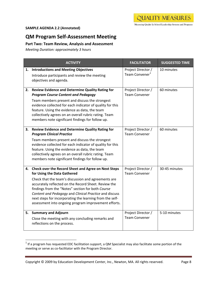#### **SAMPLE AGENDA 2.2 (Annotated)**

 $\overline{\phantom{a}}$ 

# **QM Program Self‐Assessment Meeting**

# **Part Two: Team Review, Analysis and Assessment**

*Meeting Duration: approximately 3 hours*

|    | <b>ACTIVITY</b>                                                                                                                                                                                                                                                                                                                                                                                                                      | <b>FACILITATOR</b>                               | <b>SUGGESTED TIME</b> |  |  |
|----|--------------------------------------------------------------------------------------------------------------------------------------------------------------------------------------------------------------------------------------------------------------------------------------------------------------------------------------------------------------------------------------------------------------------------------------|--------------------------------------------------|-----------------------|--|--|
| 1. | <b>Introductions and Meeting Objectives</b><br>Introduce participants and review the meeting<br>objectives and agenda.                                                                                                                                                                                                                                                                                                               | Project Director /<br>Team Convener <sup>1</sup> | 10 minutes            |  |  |
| 2. | <b>Review Evidence and Determine Quality Rating for</b><br><b>Program Course Content and Pedagogy</b><br>Team members present and discuss the strongest<br>evidence collected for each indicator of quality for this<br>feature. Using the evidence as data, the team<br>collectively agrees on an overall rubric rating. Team<br>members note significant findings for follow up.                                                   | Project Director /<br><b>Team Convener</b>       | 60 minutes            |  |  |
| 3. | <b>Review Evidence and Determine Quality Rating for</b><br><b>Program Clinical Practice</b><br>Team members present and discuss the strongest<br>evidence collected for each indicator of quality for this<br>feature. Using the evidence as data, the team<br>collectively agrees on an overall rubric rating. Team<br>members note significant findings for follow up.                                                             | Project Director /<br><b>Team Convener</b>       | 60 minutes            |  |  |
| 4. | Check over the Record Sheet and Agree on Next Steps<br>for Using the Data Gathered<br>Check that the team's discussion and agreements are<br>accurately reflected on the Record Sheet. Review the<br>findings from the "Notes" section for both Course<br>Content and Pedagogy and Clinical Practice and discuss<br>next steps for incorporating the learning from the self-<br>assessment into ongoing program improvement efforts. | Project Director /<br><b>Team Convener</b>       | 30-45 minutes         |  |  |
| 5. | <b>Summary and Adjourn</b><br>Close the meeting with any concluding remarks and<br>reflections on the process.                                                                                                                                                                                                                                                                                                                       | Project Director /<br><b>Team Convener</b>       | 5-10 minutes          |  |  |

<span id="page-9-0"></span> $1$  If a program has requested EDC facilitation support, a QM Specialist may also facilitate some portion of the meeting or serve as co-facilitator with the Program Director.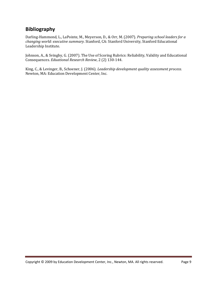# **Bibliography**

Darling‐Hammond, L., LaPointe, M., Meyerson, D., & Orr, M. (2007). *Preparing school leaders for a changing world: executive summary.* Stanford, CA: Stanford University, Stanford Educational Leadership Institute.

Johnson, A., & Svingby, G. (2007). The Use of Scoring Rubrics: Reliability, Validity and Educational 2) 130‐144. Consequences. *Eduational Research Review*, 2 (

King, C., & Levinger, B., Schoener, J. (2006). *Leadership development quality assessment process.* Newton, MA: Education Development Center, Inc.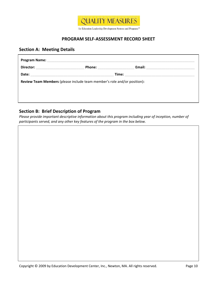

# **PROGRAM SELF‐ASSESSMENT RECORD SHEET**

# **Section A: Meeting Details**

| Director: | <b>Phone:</b> | Email: |
|-----------|---------------|--------|
| Date:     |               | Time:  |

# **Section B: Brief Description of Program**

*Please provide important descriptive information about this program including year of inception, number of participants served, and any other key features of the program in the box below.*

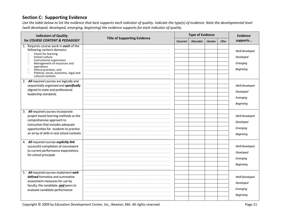# **Section C: Supporting Evidence**

Use the table below to list the evidence that best supports each indicator of quality. Indicate the type(s) of evidence. Note the developmental level *(well‐developed, developed, emerging, beginning) the evidence supports for each indicator of quality.*

| <b>Indicators of Quality</b>                                                                                                                                                                                                                                                                                                            | <b>Title of Supporting Evidence</b> | <b>Type of Evidence</b> |             | <b>Evidence</b> |       |                                                             |
|-----------------------------------------------------------------------------------------------------------------------------------------------------------------------------------------------------------------------------------------------------------------------------------------------------------------------------------------|-------------------------------------|-------------------------|-------------|-----------------|-------|-------------------------------------------------------------|
| for COURSE CONTENT & PEDAGOGY                                                                                                                                                                                                                                                                                                           |                                     | Document                | Observation | Interview       | Other | supports                                                    |
| 1. Requires course work in each of the<br>following content domains:<br>Vision for learning<br>$\Box$<br>School culture<br>$\Box$<br>Instructional supervision<br>П<br>Management of resources and<br>$\Box$<br>operations<br>Ethical practices, and<br>$\Box$<br>Political, social, economic, legal and<br>$\Box$<br>cultural contexts |                                     |                         |             |                 |       | Well-Developed<br>Developed<br>Emerging<br><b>Beginning</b> |
| 2. All required courses are logically and<br>sequentially organized and specifically<br>aligned to state and professional<br>leadership standards                                                                                                                                                                                       |                                     |                         |             |                 |       | Well-Developed<br>Developed<br>Emerging<br>Beginning        |
| 3. All required courses incorporate<br>project based learning methods as the<br>comprehensive approach to<br>instruction that includes adequate<br>opportunities for students to practice<br>an array of skills in real school contexts                                                                                                 |                                     |                         |             |                 |       | Well-Developed<br>Developed<br>Emerging<br><b>Beginning</b> |
| 4. All required courses explicitly link<br>successful completion of coursework<br>to current performance expectations<br>for school principals                                                                                                                                                                                          |                                     |                         |             |                 |       | Well-Developed<br>Developed<br>Emerging<br><b>Beginning</b> |
| 5. All required courses implement well-<br>defined formative and summative<br>assessment measures for use by<br>faculty, the candidate, and peers to<br>evaluate candidate performance                                                                                                                                                  |                                     |                         |             |                 |       | Well-Developed<br>Developed<br>Emerging<br><b>Beginning</b> |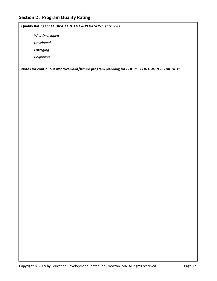# **Quality Rating for** *COURSE CONTENT & PEDAGOGY:* (*tick one*)

*Well‐Developed*

*Developed*

*Emerging*

*Beginning*

**Notes for continuous improvement/future program planning for** *COURSE CONTENT & PEDAGOGY:*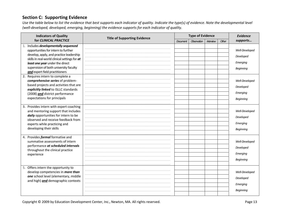# **Section C: Supporting Evidence**

Use the table below to list the evidence that best supports each indicator of quality. Indicate the type(s) of evidence. Note the developmental level *(well‐developed, developed, emerging, beginning) the evidence supports for each indicator of quality.*

| <b>Indicators of Quality</b>                                                                                                                                                                                                                                                                                                                                                                                                                                                                                           | <b>Title of Supporting Evidence</b> | <b>Type of Evidence</b> |             |           | Evidence |                                                                                                                            |
|------------------------------------------------------------------------------------------------------------------------------------------------------------------------------------------------------------------------------------------------------------------------------------------------------------------------------------------------------------------------------------------------------------------------------------------------------------------------------------------------------------------------|-------------------------------------|-------------------------|-------------|-----------|----------|----------------------------------------------------------------------------------------------------------------------------|
| for CLINICAL PRACTICE                                                                                                                                                                                                                                                                                                                                                                                                                                                                                                  |                                     | <b>Document</b>         | Observation | Interview | Other    | supports                                                                                                                   |
| Includes developmentally sequenced<br>1.<br>opportunities for intern to further<br>develop, apply, and practice leadership<br>skills in real-world clinical settings for at<br>least one year under the direct<br>supervision of both university faculty<br>and expert field practitioners<br>2. Requires intern to complete a<br>comprehensive series of problem-<br>based projects and activities that are<br>explicitly linked to ISLLC standards<br>(2008) and district performance<br>expectations for principals |                                     |                         |             |           |          | Well-Developed<br>Developed<br>Emerging<br><b>Beginning</b><br>Well-Developed<br>Developed<br>Emerging<br><b>Beginning</b> |
| 3. Provides intern with expert coaching<br>and mentoring support that includes<br>daily opportunities for intern to be<br>observed and receive feedback from<br>experts while practicing and<br>developing their skills                                                                                                                                                                                                                                                                                                |                                     |                         |             |           |          | Well-Developed<br>Developed<br>Emerging<br><b>Beginning</b>                                                                |
| 4. Provides formal formative and<br>summative assessments of intern<br>performance at scheduled intervals<br>throughout the clinical practice<br>experience                                                                                                                                                                                                                                                                                                                                                            |                                     |                         |             |           |          | Well-Developed<br>Developed<br>Emerging<br><b>Beginning</b>                                                                |
| 5. Offers intern the opportunity to<br>develop competencies in more than<br>one school level (elementary, middle<br>and high) and demographic contexts                                                                                                                                                                                                                                                                                                                                                                 |                                     |                         |             |           |          | Well-Developed<br>Developed<br>Emerging<br><b>Beginning</b>                                                                |